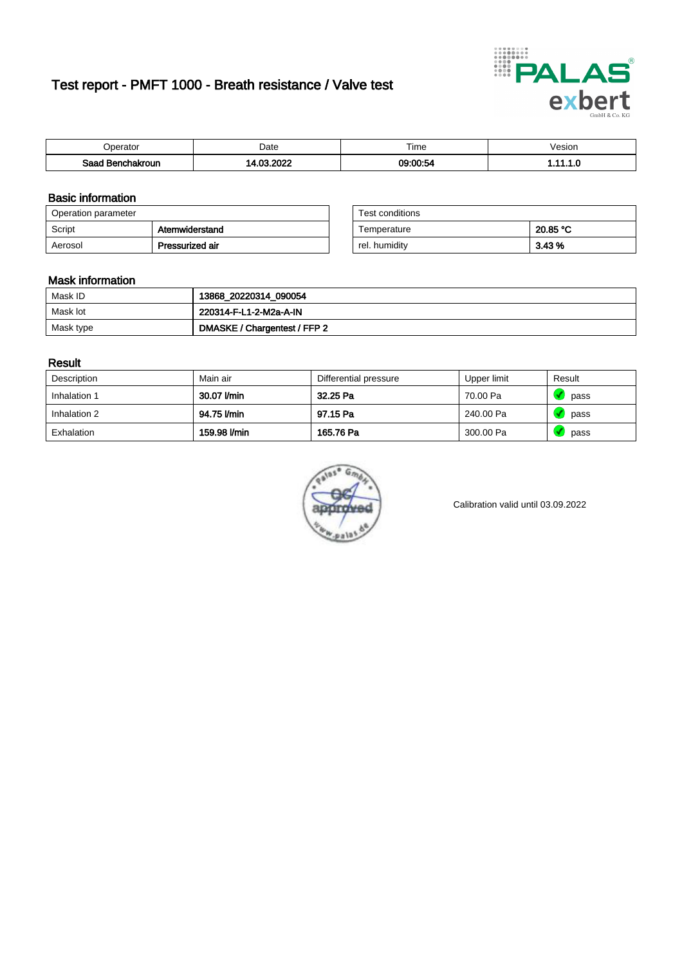# Test report - PMFT 1000 - Breath resistance / Valve test



| n<br>aw                     | Date | $- \cdot$<br><b>Time</b> | esion |
|-----------------------------|------|--------------------------|-------|
| Saad<br><b>chakroun</b><br> | 0.00 | <b>00.00.54</b><br>. .   | .     |

### Basic information

| Operation parameter |                 | Test conditions |          |
|---------------------|-----------------|-----------------|----------|
| Script              | Atemwiderstand  | Temperature     | 20.85 °C |
| Aerosol             | Pressurized air | rel. humidity   | 3.43 %   |

| Test conditions |          |
|-----------------|----------|
| Temperature     | 20.85 °C |
| rel. humidity   | 3.43%    |

### Mask information

| Mask ID   | 13868_20220314_090054        |
|-----------|------------------------------|
| Mask lot  | 220314-F-L1-2-M2a-A-IN       |
| Mask type | DMASKE / Chargentest / FFP 2 |

### Result

| Description  | Main air     | Differential pressure | Upper limit | Result |
|--------------|--------------|-----------------------|-------------|--------|
| Inhalation 1 | 30.07 l/min  | 32.25 Pa              | 70.00 Pa    | pass   |
| Inhalation 2 | 94.75 l/min  | 97.15 Pa              | 240.00 Pa   | pass   |
| Exhalation   | 159.98 l/min | 165.76 Pa             | 300.00 Pa   | pass   |



Calibration valid until 03.09.2022